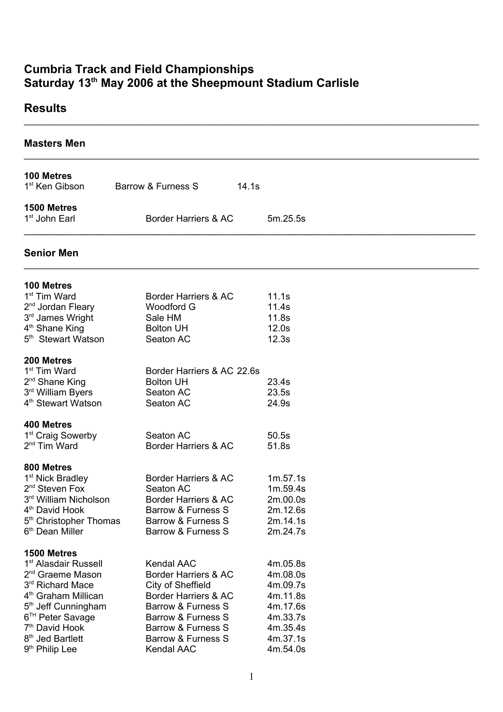## **Cumbria Track and Field Championships Saturday 13 th May 2006 at the Sheepmount Stadium Carlisle**

## **Results**

| <b>Masters Men</b>                                                                                                                                                                                                                                                                                                |                                                                                                                                                                                              |                                                                                                          |  |
|-------------------------------------------------------------------------------------------------------------------------------------------------------------------------------------------------------------------------------------------------------------------------------------------------------------------|----------------------------------------------------------------------------------------------------------------------------------------------------------------------------------------------|----------------------------------------------------------------------------------------------------------|--|
| 100 Metres<br>1 <sup>st</sup> Ken Gibson                                                                                                                                                                                                                                                                          | Barrow & Furness S                                                                                                                                                                           | 14.1s                                                                                                    |  |
| 1500 Metres<br>1 <sup>st</sup> John Earl                                                                                                                                                                                                                                                                          | Border Harriers & AC                                                                                                                                                                         | 5m.25.5s                                                                                                 |  |
| <b>Senior Men</b>                                                                                                                                                                                                                                                                                                 |                                                                                                                                                                                              |                                                                                                          |  |
| 100 Metres<br>1 <sup>st</sup> Tim Ward<br>2 <sup>nd</sup> Jordan Fleary<br>3rd James Wright<br>4 <sup>th</sup> Shane King<br>5 <sup>th</sup> Stewart Watson                                                                                                                                                       | Border Harriers & AC<br><b>Woodford G</b><br>Sale HM<br><b>Bolton UH</b><br>Seaton AC                                                                                                        | 11.1s<br>11.4s<br>11.8s<br>12.0s<br>12.3s                                                                |  |
| 200 Metres<br>1 <sup>st</sup> Tim Ward<br>2 <sup>nd</sup> Shane King<br>3rd William Byers<br>4 <sup>th</sup> Stewart Watson                                                                                                                                                                                       | Border Harriers & AC 22.6s<br><b>Bolton UH</b><br>Seaton AC<br>Seaton AC                                                                                                                     | 23.4s<br>23.5s<br>24.9s                                                                                  |  |
| 400 Metres<br>1 <sup>st</sup> Craig Sowerby<br>2 <sup>nd</sup> Tim Ward                                                                                                                                                                                                                                           | Seaton AC<br>Border Harriers & AC                                                                                                                                                            | 50.5s<br>51.8s                                                                                           |  |
| 800 Metres<br>1 <sup>st</sup> Nick Bradley<br>2 <sup>nd</sup> Steven Fox<br>3rd William Nicholson<br>4 <sup>th</sup> David Hook<br>5 <sup>th</sup> Christopher Thomas<br>6 <sup>th</sup> Dean Miller                                                                                                              | Border Harriers & AC<br>Seaton AC<br>Border Harriers & AC<br>Barrow & Furness S<br>Barrow & Furness S<br>Barrow & Furness S                                                                  | 1m.57.1s<br>1m.59.4s<br>2m.00.0s<br>2m.12.6s<br>2m.14.1s<br>2m.24.7s                                     |  |
| 1500 Metres<br>1 <sup>st</sup> Alasdair Russell<br>2 <sup>nd</sup> Graeme Mason<br>3 <sup>rd</sup> Richard Mace<br>4 <sup>th</sup> Graham Millican<br>5 <sup>th</sup> Jeff Cunningham<br>6 <sup>TH</sup> Peter Savage<br>7 <sup>th</sup> David Hook<br>8 <sup>th</sup> Jed Bartlett<br>9 <sup>th</sup> Philip Lee | <b>Kendal AAC</b><br>Border Harriers & AC<br>City of Sheffield<br>Border Harriers & AC<br>Barrow & Furness S<br>Barrow & Furness S<br>Barrow & Furness S<br>Barrow & Furness S<br>Kendal AAC | 4m.05.8s<br>4m.08.0s<br>4m.09.7s<br>4m.11.8s<br>4m.17.6s<br>4m.33.7s<br>4m.35.4s<br>4m.37.1s<br>4m.54.0s |  |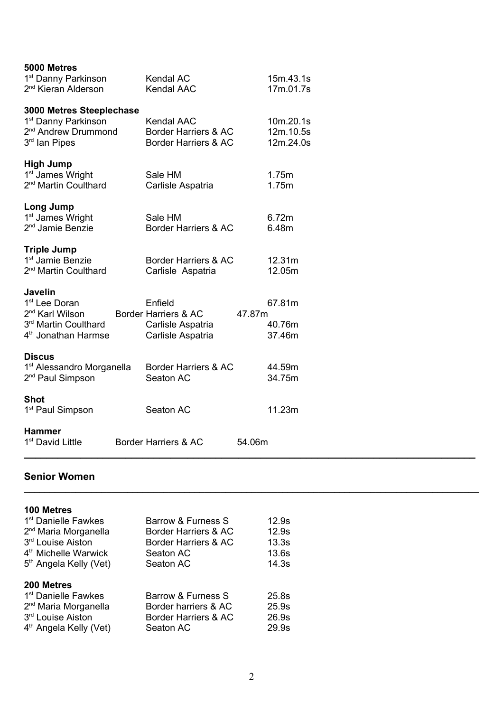| 5000 Metres<br>1 <sup>st</sup> Danny Parkinson<br>2 <sup>nd</sup> Kieran Alderson                                                     | <b>Kendal AC</b><br><b>Kendal AAC</b>                                     | 15m.43.1s<br>17m.01.7s               |
|---------------------------------------------------------------------------------------------------------------------------------------|---------------------------------------------------------------------------|--------------------------------------|
| 3000 Metres Steeplechase<br>1 <sup>st</sup> Danny Parkinson<br>2 <sup>nd</sup> Andrew Drummond<br>3rd Ian Pipes                       | <b>Kendal AAC</b><br>Border Harriers & AC<br>Border Harriers & AC         | 10m.20.1s<br>12m.10.5s<br>12m.24.0s  |
| <b>High Jump</b><br>1 <sup>st</sup> James Wright<br>2 <sup>nd</sup> Martin Coulthard                                                  | Sale HM<br>Carlisle Aspatria                                              | 1.75m<br>1.75m                       |
| Long Jump<br>1 <sup>st</sup> James Wright<br>2 <sup>nd</sup> Jamie Benzie                                                             | Sale HM<br>Border Harriers & AC                                           | 6.72m<br>6.48m                       |
| <b>Triple Jump</b><br>1 <sup>st</sup> Jamie Benzie<br>2 <sup>nd</sup> Martin Coulthard                                                | Border Harriers & AC<br>Carlisle Aspatria                                 | 12.31m<br>12.05m                     |
| <b>Javelin</b><br>1 <sup>st</sup> Lee Doran<br>2 <sup>nd</sup> Karl Wilson<br>3rd Martin Coulthard<br>4 <sup>th</sup> Jonathan Harmse | Enfield<br>Border Harriers & AC<br>Carlisle Aspatria<br>Carlisle Aspatria | 67.81m<br>47.87m<br>40.76m<br>37.46m |
| <b>Discus</b><br>1 <sup>st</sup> Alessandro Morganella<br>2 <sup>nd</sup> Paul Simpson                                                | Border Harriers & AC<br>Seaton AC                                         | 44.59m<br>34.75m                     |
| <b>Shot</b><br>1 <sup>st</sup> Paul Simpson                                                                                           | Seaton AC                                                                 | 11.23m                               |
| <b>Hammer</b><br>1 <sup>st</sup> David Little                                                                                         | Border Harriers & AC                                                      | 54.06m                               |

## **Senior Women**

#### **100 Metres**

| 1 <sup>st</sup> Danielle Fawkes                                   | Barrow & Furness S   | 12.9s |
|-------------------------------------------------------------------|----------------------|-------|
| 2 <sup>nd</sup> Maria Morganella                                  | Border Harriers & AC | 12.9s |
| 3 <sup>rd</sup> Louise Aiston                                     | Border Harriers & AC | 13.3s |
| 4 <sup>th</sup> Michelle Warwick                                  | Seaton AC            | 13.6s |
| 5 <sup>th</sup> Angela Kelly (Vet)                                | Seaton AC            | 14.3s |
|                                                                   |                      |       |
|                                                                   |                      |       |
| 200 Metres<br>1 <sup>st</sup> Danielle Fawkes                     | Barrow & Furness S   | 25.8s |
|                                                                   | Border harriers & AC | 25.9s |
| 2 <sup>nd</sup> Maria Morganella<br>3 <sup>rd</sup> Louise Aiston | Border Harriers & AC | 26.9s |
| 4 <sup>th</sup> Angela Kelly (Vet)                                | Seaton AC            | 29.9s |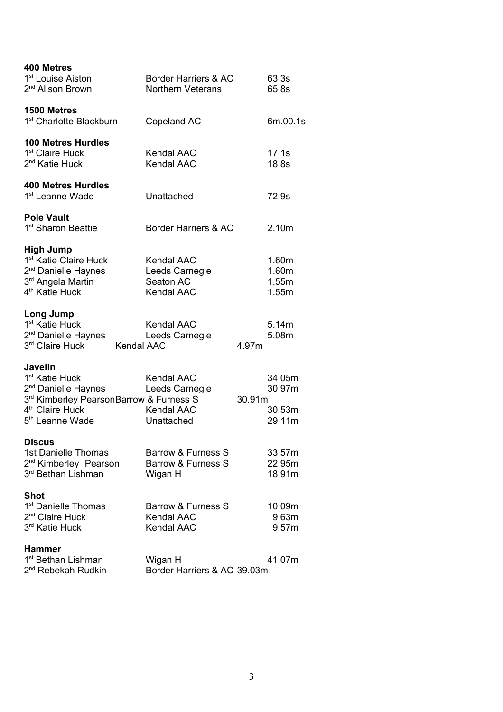| 400 Metres<br>1 <sup>st</sup> Louise Aiston<br>2 <sup>nd</sup> Alison Brown                                                                                                              | Border Harriers & AC<br><b>Northern Veterans</b>                       |        | 63.3s<br>65.8s                       |
|------------------------------------------------------------------------------------------------------------------------------------------------------------------------------------------|------------------------------------------------------------------------|--------|--------------------------------------|
| 1500 Metres<br>1 <sup>st</sup> Charlotte Blackburn                                                                                                                                       | Copeland AC                                                            |        | 6m.00.1s                             |
| <b>100 Metres Hurdles</b><br>1 <sup>st</sup> Claire Huck<br>2 <sup>nd</sup> Katie Huck                                                                                                   | <b>Kendal AAC</b><br><b>Kendal AAC</b>                                 |        | 17.1s<br>18.8s                       |
| <b>400 Metres Hurdles</b><br>1 <sup>st</sup> Leanne Wade                                                                                                                                 | Unattached                                                             |        | 72.9s                                |
| <b>Pole Vault</b><br>1 <sup>st</sup> Sharon Beattie                                                                                                                                      | Border Harriers & AC                                                   |        | 2.10m                                |
| <b>High Jump</b><br>1 <sup>st</sup> Katie Claire Huck<br>2 <sup>nd</sup> Danielle Haynes<br>3 <sup>rd</sup> Angela Martin<br>4 <sup>th</sup> Katie Huck                                  | <b>Kendal AAC</b><br>Leeds Carnegie<br>Seaton AC<br><b>Kendal AAC</b>  |        | 1.60m<br>1.60m<br>1.55m<br>1.55m     |
| Long Jump<br>1 <sup>st</sup> Katie Huck<br>2 <sup>nd</sup> Danielle Haynes<br>3rd Claire Huck Kendal AAC                                                                                 | <b>Kendal AAC</b><br>Leeds Carnegie                                    | 4.97m  | 5.14m<br>5.08m                       |
| <b>Javelin</b><br>1 <sup>st</sup> Katie Huck<br>2 <sup>nd</sup> Danielle Haynes<br>3rd Kimberley PearsonBarrow & Furness S<br>4 <sup>th</sup> Claire Huck<br>5 <sup>th</sup> Leanne Wade | <b>Kendal AAC</b><br>Leeds Carnegie<br><b>Kendal AAC</b><br>Unattached | 30.91m | 34.05m<br>30.97m<br>30.53m<br>29.11m |
| <b>Discus</b><br>1st Danielle Thomas<br>2 <sup>nd</sup> Kimberley Pearson<br>3 <sup>rd</sup> Bethan Lishman                                                                              | Barrow & Furness S<br>Barrow & Furness S<br>Wigan H                    |        | 33.57m<br>22.95m<br>18.91m           |
| <b>Shot</b><br>1 <sup>st</sup> Danielle Thomas<br>2 <sup>nd</sup> Claire Huck<br>3 <sup>rd</sup> Katie Huck                                                                              | Barrow & Furness S<br>Kendal AAC<br><b>Kendal AAC</b>                  |        | 10.09m<br>9.63m<br>9.57m             |
| <b>Hammer</b><br>1 <sup>st</sup> Bethan Lishman<br>2 <sup>nd</sup> Rebekah Rudkin                                                                                                        | Wigan H<br>Border Harriers & AC 39.03m                                 |        | 41.07m                               |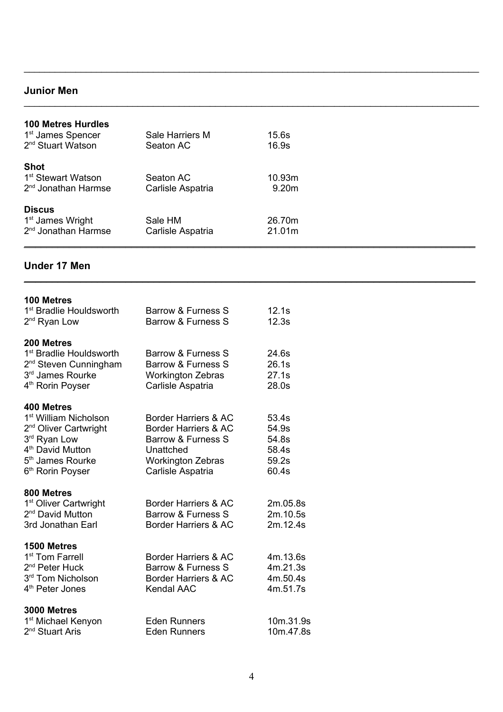## **Junior Men**

| <b>100 Metres Hurdles</b><br>1 <sup>st</sup> James Spencer<br>2 <sup>nd</sup> Stuart Watson | Sale Harriers M<br>Seaton AC   | 15.6s<br>16.9s              |
|---------------------------------------------------------------------------------------------|--------------------------------|-----------------------------|
| <b>Shot</b><br>1 <sup>st</sup> Stewart Watson<br>2 <sup>nd</sup> Jonathan Harmse            | Seaton AC<br>Carlisle Aspatria | 10.93m<br>9.20 <sub>m</sub> |
| <b>Discus</b><br>1 <sup>st</sup> James Wright<br>2 <sup>nd</sup> Jonathan Harmse            | Sale HM<br>Carlisle Aspatria   | 26.70m<br>21.01m            |

\_\_\_\_\_\_\_\_\_\_\_\_\_\_\_\_\_\_\_\_\_\_\_\_\_\_\_\_\_\_\_\_\_\_\_\_\_\_\_\_\_\_\_\_\_\_\_\_\_\_\_\_\_\_\_\_\_\_\_\_\_\_\_\_\_\_\_\_\_\_\_\_\_\_\_\_\_\_\_\_

\_\_\_\_\_\_\_\_\_\_\_\_\_\_\_\_\_\_\_\_\_\_\_\_\_\_\_\_\_\_\_\_\_\_\_\_\_\_\_\_\_\_\_\_\_\_\_\_\_\_\_\_\_\_\_\_\_\_\_\_\_\_\_\_\_\_\_\_\_\_\_\_\_\_\_\_\_\_\_\_\_\_\_\_\_\_\_\_

\_\_\_\_\_\_\_\_\_\_\_\_\_\_\_\_\_\_\_\_\_\_\_\_\_\_\_\_\_\_\_\_\_\_\_\_\_\_\_\_\_\_\_\_\_\_\_\_\_\_\_\_\_\_\_\_\_\_\_\_\_\_\_\_\_\_\_\_\_\_\_\_\_\_\_\_\_\_\_\_\_\_\_\_\_\_\_\_

## **Under 17 Men**

| 100 Metres                                                      |                                               |                      |
|-----------------------------------------------------------------|-----------------------------------------------|----------------------|
| 1 <sup>st</sup> Bradlie Houldsworth<br>2 <sup>nd</sup> Ryan Low | Barrow & Furness S<br>Barrow & Furness S      | 12.1s<br>12.3s       |
| 200 Metres                                                      |                                               |                      |
| 1 <sup>st</sup> Bradlie Houldsworth                             | Barrow & Furness S                            | 24.6s                |
| 2 <sup>nd</sup> Steven Cunningham<br>3rd James Rourke           | Barrow & Furness S                            | 26.1s<br>27.1s       |
| 4 <sup>th</sup> Rorin Poyser                                    | <b>Workington Zebras</b><br>Carlisle Aspatria | 28.0s                |
| 400 Metres                                                      |                                               |                      |
| 1 <sup>st</sup> William Nicholson                               | Border Harriers & AC                          | 53.4s                |
| 2 <sup>nd</sup> Oliver Cartwright                               | Border Harriers & AC                          | 54.9s                |
| 3rd Ryan Low<br>4 <sup>th</sup> David Mutton                    | Barrow & Furness S<br>Unattched               | 54.8s<br>58.4s       |
| 5 <sup>th</sup> James Rourke                                    | <b>Workington Zebras</b>                      | 59.2s                |
| 6 <sup>th</sup> Rorin Poyser                                    | Carlisle Aspatria                             | 60.4s                |
| 800 Metres                                                      |                                               |                      |
| 1 <sup>st</sup> Oliver Cartwright                               | Border Harriers & AC                          | 2m.05.8s             |
| 2 <sup>nd</sup> David Mutton                                    | Barrow & Furness S                            | 2m.10.5s             |
| 3rd Jonathan Earl                                               | Border Harriers & AC                          | 2m.12.4s             |
| 1500 Metres                                                     |                                               |                      |
| 1 <sup>st</sup> Tom Farrell<br>2 <sup>nd</sup> Peter Huck       | Border Harriers & AC<br>Barrow & Furness S    | 4m.13.6s<br>4m.21.3s |
| 3rd Tom Nicholson                                               | Border Harriers & AC                          | 4m.50.4s             |
| 4 <sup>th</sup> Peter Jones                                     | <b>Kendal AAC</b>                             | 4m.51.7s             |
| 3000 Metres                                                     |                                               |                      |
| 1 <sup>st</sup> Michael Kenyon                                  | <b>Eden Runners</b>                           | 10m.31.9s            |
| 2 <sup>nd</sup> Stuart Aris                                     | Eden Runners                                  | 10m.47.8s            |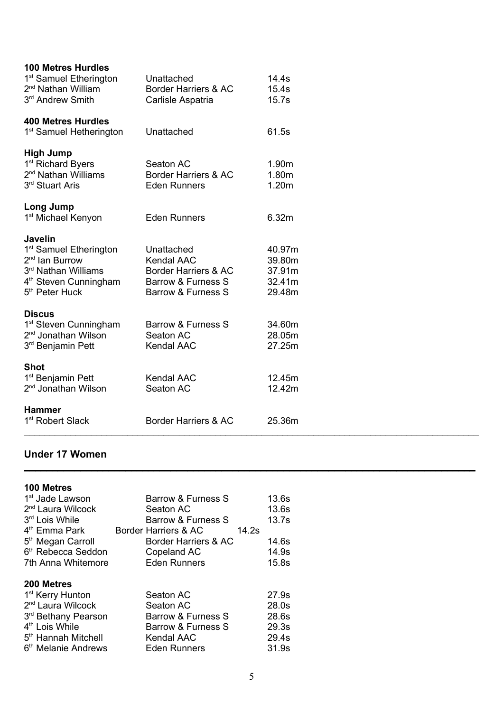| <b>100 Metres Hurdles</b><br>1 <sup>st</sup> Samuel Etherington<br>2 <sup>nd</sup> Nathan William<br>3 <sup>rd</sup> Andrew Smith                                            | Unattached<br>Border Harriers & AC<br>Carlisle Aspatria                                                        | 14.4s<br>15.4s<br>15.7s                        |
|------------------------------------------------------------------------------------------------------------------------------------------------------------------------------|----------------------------------------------------------------------------------------------------------------|------------------------------------------------|
| <b>400 Metres Hurdles</b><br>1 <sup>st</sup> Samuel Hetherington                                                                                                             | Unattached                                                                                                     | 61.5s                                          |
| <b>High Jump</b><br>1 <sup>st</sup> Richard Byers<br>2 <sup>nd</sup> Nathan Williams<br>3rd Stuart Aris                                                                      | Seaton AC<br>Border Harriers & AC<br><b>Eden Runners</b>                                                       | 1.90m<br>1.80m<br>1.20m                        |
| Long Jump<br>1 <sup>st</sup> Michael Kenyon                                                                                                                                  | <b>Eden Runners</b>                                                                                            | 6.32m                                          |
| <b>Javelin</b><br>1 <sup>st</sup> Samuel Etherington<br>2 <sup>nd</sup> Ian Burrow<br>3rd Nathan Williams<br>4 <sup>th</sup> Steven Cunningham<br>5 <sup>th</sup> Peter Huck | Unattached<br><b>Kendal AAC</b><br><b>Border Harriers &amp; AC</b><br>Barrow & Furness S<br>Barrow & Furness S | 40.97m<br>39.80m<br>37.91m<br>32.41m<br>29.48m |
| <b>Discus</b><br>1 <sup>st</sup> Steven Cunningham<br>2 <sup>nd</sup> Jonathan Wilson<br>3 <sup>rd</sup> Benjamin Pett                                                       | Barrow & Furness S<br>Seaton AC<br><b>Kendal AAC</b>                                                           | 34.60m<br>28.05m<br>27.25m                     |
| <b>Shot</b><br>1 <sup>st</sup> Benjamin Pett<br>2 <sup>nd</sup> Jonathan Wilson                                                                                              | <b>Kendal AAC</b><br>Seaton AC                                                                                 | 12.45m<br>12.42m                               |
| <b>Hammer</b><br>1 <sup>st</sup> Robert Slack                                                                                                                                | Border Harriers & AC                                                                                           | 25.36m                                         |

## **Under 17 Women**

| <b>100 Metres</b>               |                               |       |
|---------------------------------|-------------------------------|-------|
| 1 <sup>st</sup> Jade Lawson     | Barrow & Furness S            | 13.6s |
| 2 <sup>nd</sup> Laura Wilcock   | Seaton AC                     | 13.6s |
| 3 <sup>rd</sup> Lois While      | Barrow & Furness S            | 13.7s |
| 4 <sup>th</sup> Emma Park       | Border Harriers & AC<br>14.2s |       |
| 5 <sup>th</sup> Megan Carroll   | Border Harriers & AC          | 14.6s |
| 6 <sup>th</sup> Rebecca Seddon  | Copeland AC                   | 14.9s |
| 7th Anna Whitemore              | <b>Eden Runners</b>           | 15.8s |
| 200 Metres                      |                               |       |
| 1 <sup>st</sup> Kerry Hunton    | Seaton AC                     | 27.9s |
| 2 <sup>nd</sup> Laura Wilcock   | Seaton AC                     | 28.0s |
| 3 <sup>rd</sup> Bethany Pearson | Barrow & Furness S            | 28.6s |
| 4 <sup>th</sup> Lois While      | Barrow & Furness S            | 29.3s |
| 5 <sup>th</sup> Hannah Mitchell | Kendal AAC                    | 29.4s |
| 6 <sup>th</sup> Melanie Andrews | <b>Eden Runners</b>           | 31.9s |
|                                 |                               |       |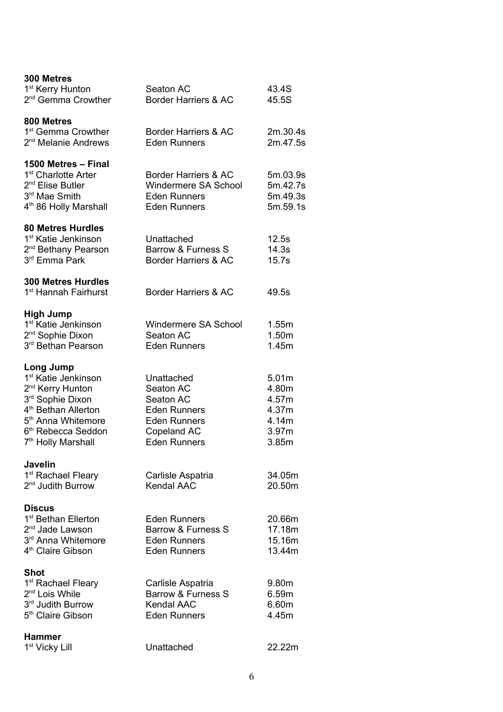| 300 Metres<br>1 <sup>st</sup> Kerry Hunton<br>2 <sup>nd</sup> Gemma Crowther                                                                                                                                                              | Seaton AC<br>Border Harriers & AC                                                                                        | 43.4S<br>45.5S                                              |
|-------------------------------------------------------------------------------------------------------------------------------------------------------------------------------------------------------------------------------------------|--------------------------------------------------------------------------------------------------------------------------|-------------------------------------------------------------|
| 800 Metres<br>1 <sup>st</sup> Gemma Crowther<br>2 <sup>nd</sup> Melanie Andrews                                                                                                                                                           | Border Harriers & AC<br><b>Eden Runners</b>                                                                              | 2m.30.4s<br>2m.47.5s                                        |
| 1500 Metres - Final<br>1 <sup>st</sup> Charlotte Arter<br>2 <sup>nd</sup> Elise Butler<br>3 <sup>rd</sup> Mae Smith<br>4 <sup>th</sup> 86 Holly Marshall                                                                                  | Border Harriers & AC<br>Windermere SA School<br><b>Eden Runners</b><br><b>Eden Runners</b>                               | 5m.03.9s<br>5m.42.7s<br>5m.49.3s<br>5m.59.1s                |
| <b>80 Metres Hurdles</b><br>1 <sup>st</sup> Katie Jenkinson<br>2 <sup>nd</sup> Bethany Pearson<br>3rd Emma Park                                                                                                                           | Unattached<br>Barrow & Furness S<br><b>Border Harriers &amp; AC</b>                                                      | 12.5s<br>14.3s<br>15.7s                                     |
| <b>300 Metres Hurdles</b><br>1 <sup>st</sup> Hannah Fairhurst                                                                                                                                                                             | Border Harriers & AC                                                                                                     | 49.5s                                                       |
| <b>High Jump</b><br>1 <sup>st</sup> Katie Jenkinson<br>2 <sup>nd</sup> Sophie Dixon<br>3rd Bethan Pearson                                                                                                                                 | Windermere SA School<br>Seaton AC<br><b>Eden Runners</b>                                                                 | 1.55m<br>1.50m<br>1.45m                                     |
| Long Jump<br>1 <sup>st</sup> Katie Jenkinson<br>2 <sup>nd</sup> Kerry Hunton<br>3rd Sophie Dixon<br>4 <sup>th</sup> Bethan Allerton<br>5 <sup>th</sup> Anna Whitemore<br>6 <sup>th</sup> Rebecca Seddon<br>7 <sup>th</sup> Holly Marshall | Unattached<br>Seaton AC<br>Seaton AC<br><b>Eden Runners</b><br><b>Eden Runners</b><br>Copeland AC<br><b>Eden Runners</b> | 5.01m<br>4.80m<br>4.57m<br>4.37m<br>4.14m<br>3.97m<br>3.85m |
| <b>Javelin</b><br>1 <sup>st</sup> Rachael Fleary<br>2 <sup>nd</sup> Judith Burrow                                                                                                                                                         | Carlisle Aspatria<br>Kendal AAC                                                                                          | 34.05m<br>20.50m                                            |
| <b>Discus</b><br>1 <sup>st</sup> Bethan Ellerton<br>2 <sup>nd</sup> Jade Lawson<br>3 <sup>rd</sup> Anna Whitemore<br>4 <sup>th</sup> Claire Gibson                                                                                        | <b>Eden Runners</b><br>Barrow & Furness S<br><b>Eden Runners</b><br><b>Eden Runners</b>                                  | 20.66m<br>17.18m<br>15.16m<br>13.44m                        |
| Shot<br>1 <sup>st</sup> Rachael Fleary<br>2 <sup>nd</sup> Lois While<br>3rd Judith Burrow<br>5 <sup>th</sup> Claire Gibson                                                                                                                | Carlisle Aspatria<br>Barrow & Furness S<br><b>Kendal AAC</b><br><b>Eden Runners</b>                                      | 9.80m<br>6.59m<br>6.60m<br>4.45m                            |
| <b>Hammer</b><br>1 <sup>st</sup> Vicky Lill                                                                                                                                                                                               | Unattached                                                                                                               | 22.22m                                                      |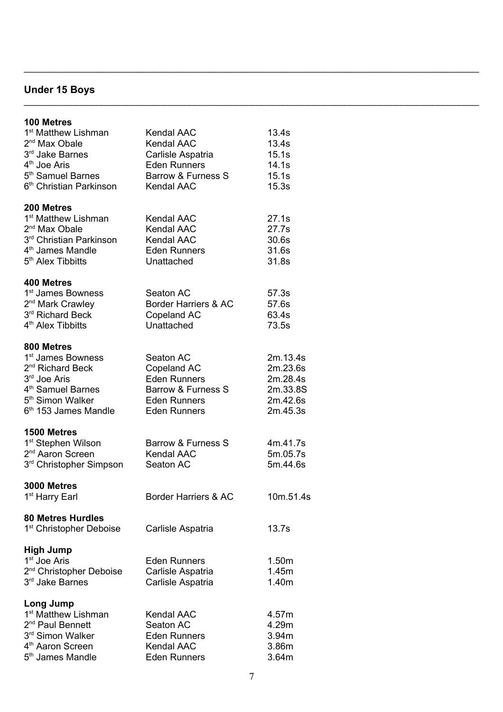# **Under 15 Boys**

| 100 Metres<br>1 <sup>st</sup> Matthew Lishman<br>2 <sup>nd</sup> Max Obale<br>3rd Jake Barnes<br>4 <sup>th</sup> Joe Aris<br>5 <sup>th</sup> Samuel Barnes<br>6 <sup>th</sup> Christian Parkinson  | Kendal AAC<br><b>Kendal AAC</b><br>Carlisle Aspatria<br><b>Eden Runners</b><br>Barrow & Furness S<br><b>Kendal AAC</b> | 13.4s<br>13.4s<br>15.1s<br>14.1s<br>15.1s<br>15.3s                   |
|----------------------------------------------------------------------------------------------------------------------------------------------------------------------------------------------------|------------------------------------------------------------------------------------------------------------------------|----------------------------------------------------------------------|
| <b>200 Metres</b><br>1 <sup>st</sup> Matthew Lishman<br>2 <sup>nd</sup> Max Obale<br>3 <sup>rd</sup> Christian Parkinson<br>$4th$ James Mandle<br>5 <sup>th</sup> Alex Tibbitts                    | <b>Kendal AAC</b><br><b>Kendal AAC</b><br><b>Kendal AAC</b><br><b>Eden Runners</b><br>Unattached                       | 27.1s<br>27.7s<br>30.6s<br>31.6s<br>31.8s                            |
| 400 Metres<br>1 <sup>st</sup> James Bowness<br>2 <sup>nd</sup> Mark Crawley<br>3rd Richard Beck<br>4 <sup>th</sup> Alex Tibbitts                                                                   | Seaton AC<br>Border Harriers & AC<br>Copeland AC<br>Unattached                                                         | 57.3s<br>57.6s<br>63.4s<br>73.5s                                     |
| 800 Metres<br>1 <sup>st</sup> James Bowness<br>2 <sup>nd</sup> Richard Beck<br>3 <sup>rd</sup> Joe Aris<br>4 <sup>th</sup> Samuel Barnes<br>5 <sup>th</sup> Simon Walker<br>$6th$ 153 James Mandle | Seaton AC<br>Copeland AC<br><b>Eden Runners</b><br>Barrow & Furness S<br><b>Eden Runners</b><br><b>Eden Runners</b>    | 2m.13.4s<br>2m.23.6s<br>2m.28.4s<br>2m.33.8S<br>2m.42.6s<br>2m.45.3s |
| 1500 Metres<br>1 <sup>st</sup> Stephen Wilson<br>2 <sup>nd</sup> Aaron Screen<br>3 <sup>rd</sup> Christopher Simpson                                                                               | Barrow & Furness S<br><b>Kendal AAC</b><br>Seaton AC                                                                   | 4m.41.7s<br>5m.05.7s<br>5m.44.6s                                     |
| 3000 Metres<br>1 <sup>st</sup> Harry Earl                                                                                                                                                          | Border Harriers & AC                                                                                                   | 10m.51.4s                                                            |
| <b>80 Metres Hurdles</b><br>1 <sup>st</sup> Christopher Deboise                                                                                                                                    | Carlisle Aspatria                                                                                                      | 13.7s                                                                |
| <b>High Jump</b><br>1 <sup>st</sup> Joe Aris<br>2 <sup>nd</sup> Christopher Deboise<br>3rd Jake Barnes                                                                                             | <b>Eden Runners</b><br>Carlisle Aspatria<br>Carlisle Aspatria                                                          | 1.50m<br>1.45m<br>1.40m                                              |
| Long Jump<br>1 <sup>st</sup> Matthew Lishman<br>2 <sup>nd</sup> Paul Bennett<br>3rd Simon Walker<br>4 <sup>th</sup> Aaron Screen<br>5 <sup>th</sup> James Mandle                                   | <b>Kendal AAC</b><br>Seaton AC<br><b>Eden Runners</b><br><b>Kendal AAC</b><br><b>Eden Runners</b>                      | 4.57m<br>4.29m<br>3.94m<br>3.86m<br>3.64m                            |

\_\_\_\_\_\_\_\_\_\_\_\_\_\_\_\_\_\_\_\_\_\_\_\_\_\_\_\_\_\_\_\_\_\_\_\_\_\_\_\_\_\_\_\_\_\_\_\_\_\_\_\_\_\_\_\_\_\_\_\_\_\_\_\_\_\_\_\_\_\_\_\_\_\_\_\_\_\_\_\_\_\_\_\_\_\_\_\_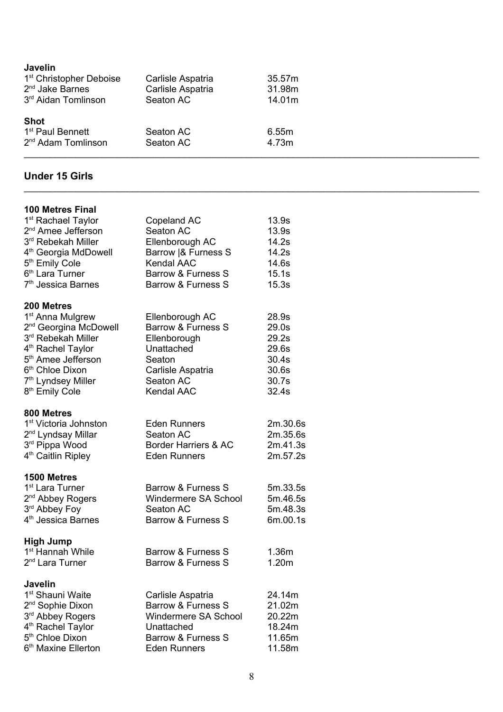| Javelin                             |                   |        |  |
|-------------------------------------|-------------------|--------|--|
| 1 <sup>st</sup> Christopher Deboise | Carlisle Aspatria | 35.57m |  |
| $2nd$ Jake Barnes                   | Carlisle Aspatria | 31.98m |  |
| 3 <sup>rd</sup> Aidan Tomlinson     | Seaton AC         | 14.01m |  |
| <b>Shot</b>                         |                   |        |  |
| 1 <sup>st</sup> Paul Bennett        | Seaton AC         | 6.55m  |  |
| 2 <sup>nd</sup> Adam Tomlinson      | Seaton AC         | 4.73m  |  |
|                                     |                   |        |  |

### **Under 15 Girls**

| <b>100 Metres Final</b>                                                                                                                                                                                                                                                 |                                                                                                                                                 |                                                                      |
|-------------------------------------------------------------------------------------------------------------------------------------------------------------------------------------------------------------------------------------------------------------------------|-------------------------------------------------------------------------------------------------------------------------------------------------|----------------------------------------------------------------------|
| 1 <sup>st</sup> Rachael Taylor<br>2 <sup>nd</sup> Amee Jefferson<br>3rd Rebekah Miller<br>4 <sup>th</sup> Georgia MdDowell<br>5 <sup>th</sup> Emily Cole<br>6 <sup>th</sup> Lara Turner<br>7 <sup>th</sup> Jessica Barnes                                               | Copeland AC<br>Seaton AC<br>Ellenborough AC<br>Barrow   & Furness S<br><b>Kendal AAC</b><br><b>Barrow &amp; Furness S</b><br>Barrow & Furness S | 13.9s<br>13.9s<br>14.2s<br>14.2s<br>14.6s<br>15.1s<br>15.3s          |
|                                                                                                                                                                                                                                                                         |                                                                                                                                                 |                                                                      |
| 200 Metres<br>1 <sup>st</sup> Anna Mulgrew<br>2 <sup>nd</sup> Georgina McDowell<br>3rd Rebekah Miller<br>4 <sup>th</sup> Rachel Taylor<br>5 <sup>th</sup> Amee Jefferson<br>6 <sup>th</sup> Chloe Dixon<br>7 <sup>th</sup> Lyndsey Miller<br>8 <sup>th</sup> Emily Cole | Ellenborough AC<br><b>Barrow &amp; Furness S</b><br>Ellenborough<br>Unattached<br>Seaton<br>Carlisle Aspatria<br>Seaton AC<br><b>Kendal AAC</b> | 28.9s<br>29.0s<br>29.2s<br>29.6s<br>30.4s<br>30.6s<br>30.7s<br>32.4s |
| 800 Metres                                                                                                                                                                                                                                                              |                                                                                                                                                 |                                                                      |
| 1 <sup>st</sup> Victoria Johnston<br>2 <sup>nd</sup> Lyndsay Millar<br>3rd Pippa Wood<br>4 <sup>th</sup> Caitlin Ripley                                                                                                                                                 | <b>Eden Runners</b><br>Seaton AC<br>Border Harriers & AC<br><b>Eden Runners</b>                                                                 | 2m.30.6s<br>2m.35.6s<br>2m.41.3s<br>2m.57.2s                         |
| 1500 Metres<br>1 <sup>st</sup> Lara Turner<br>2 <sup>nd</sup> Abbey Rogers<br>3rd Abbey Foy<br>4 <sup>th</sup> Jessica Barnes                                                                                                                                           | Barrow & Furness S<br>Windermere SA School<br>Seaton AC<br>Barrow & Furness S                                                                   | 5m.33.5s<br>5m.46.5s<br>5m.48.3s<br>6m.00.1s                         |
| <b>High Jump</b><br>1 <sup>st</sup> Hannah While<br>2 <sup>nd</sup> Lara Turner                                                                                                                                                                                         | Barrow & Furness S<br>Barrow & Furness S                                                                                                        | 1.36m<br>1.20m                                                       |
| <b>Javelin</b><br>1 <sup>st</sup> Shauni Waite<br>2 <sup>nd</sup> Sophie Dixon<br>3rd Abbey Rogers<br>4 <sup>th</sup> Rachel Taylor<br>5 <sup>th</sup> Chloe Dixon<br>6 <sup>th</sup> Maxine Ellerton                                                                   | Carlisle Aspatria<br>Barrow & Furness S<br>Windermere SA School<br>Unattached<br>Barrow & Furness S<br><b>Eden Runners</b>                      | 24.14m<br>21.02m<br>20.22m<br>18.24m<br>11.65m<br>11.58m             |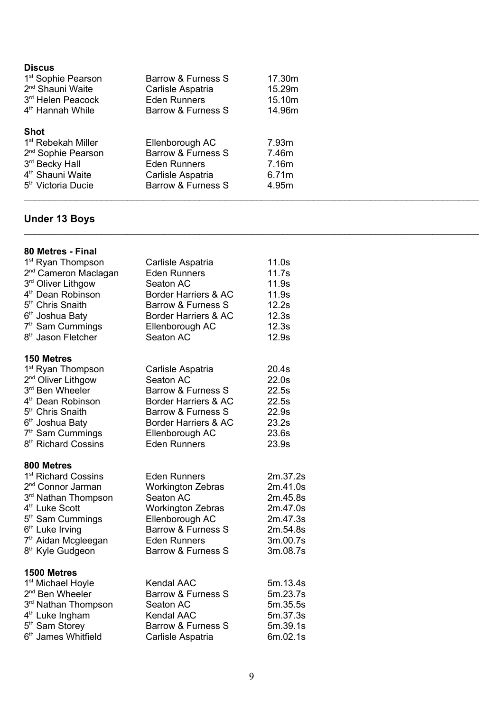| <b>Discus</b><br>1 <sup>st</sup> Sophie Pearson<br>2 <sup>nd</sup> Shauni Waite<br>3 <sup>rd</sup> Helen Peacock<br>4 <sup>th</sup> Hannah While                    | Barrow & Furness S<br>Carlisle Aspatria<br><b>Eden Runners</b><br>Barrow & Furness S                    | 17.30m<br>15.29m<br>15.10m<br>14.96m      |  |
|---------------------------------------------------------------------------------------------------------------------------------------------------------------------|---------------------------------------------------------------------------------------------------------|-------------------------------------------|--|
| <b>Shot</b><br>1 <sup>st</sup> Rebekah Miller<br>2 <sup>nd</sup> Sophie Pearson<br>3rd Becky Hall<br>4 <sup>th</sup> Shauni Waite<br>5 <sup>th</sup> Victoria Ducie | Ellenborough AC<br>Barrow & Furness S<br><b>Eden Runners</b><br>Carlisle Aspatria<br>Barrow & Furness S | 7.93m<br>7.46m<br>7.16m<br>6.71m<br>4.95m |  |

# **Under 13 Boys**

| 80 Metres - Final                |                               |          |
|----------------------------------|-------------------------------|----------|
| 1 <sup>st</sup> Ryan Thompson    | Carlisle Aspatria             | 11.0s    |
| 2 <sup>nd</sup> Cameron Maclagan | <b>Eden Runners</b>           | 11.7s    |
| 3rd Oliver Lithgow               | Seaton AC                     | 11.9s    |
| 4 <sup>th</sup> Dean Robinson    | Border Harriers & AC          | 11.9s    |
| 5 <sup>th</sup> Chris Snaith     | Barrow & Furness S            | 12.2s    |
| 6 <sup>th</sup> Joshua Baty      | Border Harriers & AC          | 12.3s    |
| 7 <sup>th</sup> Sam Cummings     | Ellenborough AC               | 12.3s    |
| 8 <sup>th</sup> Jason Fletcher   | Seaton AC                     | 12.9s    |
| 150 Metres                       |                               |          |
| 1 <sup>st</sup> Ryan Thompson    | Carlisle Aspatria             | 20.4s    |
| 2 <sup>nd</sup> Oliver Lithgow   | Seaton AC                     | 22.0s    |
| 3rd Ben Wheeler                  | Barrow & Furness S            | 22.5s    |
| 4 <sup>th</sup> Dean Robinson    | Border Harriers & AC          | 22.5s    |
| 5 <sup>th</sup> Chris Snaith     | Barrow & Furness S            | 22.9s    |
| 6 <sup>th</sup> Joshua Baty      | Border Harriers & AC          | 23.2s    |
| 7 <sup>th</sup> Sam Cummings     | Ellenborough AC               | 23.6s    |
| 8 <sup>th</sup> Richard Cossins  | <b>Eden Runners</b>           | 23.9s    |
| 800 Metres                       |                               |          |
| 1 <sup>st</sup> Richard Cossins  | <b>Eden Runners</b>           | 2m.37.2s |
| 2 <sup>nd</sup> Connor Jarman    | <b>Workington Zebras</b>      | 2m.41.0s |
| 3rd Nathan Thompson              | Seaton AC                     | 2m.45.8s |
| 4 <sup>th</sup> Luke Scott       | <b>Workington Zebras</b>      | 2m.47.0s |
| 5 <sup>th</sup> Sam Cummings     | Ellenborough AC               | 2m.47.3s |
| 6 <sup>th</sup> Luke Irving      | Barrow & Furness S            | 2m.54.8s |
| 7 <sup>th</sup> Aidan Mcgleegan  | <b>Eden Runners</b>           | 3m.00.7s |
| 8 <sup>th</sup> Kyle Gudgeon     | Barrow & Furness S            | 3m.08.7s |
| 1500 Metres                      |                               |          |
| 1 <sup>st</sup> Michael Hoyle    | <b>Kendal AAC</b>             | 5m.13.4s |
| 2 <sup>nd</sup> Ben Wheeler      | Barrow & Furness S            | 5m.23.7s |
| 3rd Nathan Thompson              | Seaton AC                     | 5m.35.5s |
| 4 <sup>th</sup> Luke Ingham      | <b>Kendal AAC</b>             | 5m.37.3s |
| 5 <sup>th</sup> Sam Storey       | <b>Barrow &amp; Furness S</b> | 5m.39.1s |
| 6 <sup>th</sup> James Whitfield  | Carlisle Aspatria             | 6m.02.1s |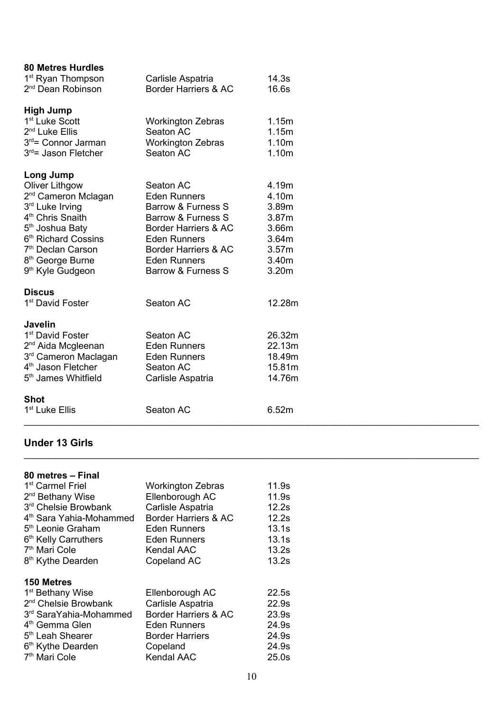| <b>80 Metres Hurdles</b>         |                          |        |
|----------------------------------|--------------------------|--------|
| 1 <sup>st</sup> Ryan Thompson    | Carlisle Aspatria        | 14.3s  |
| 2 <sup>nd</sup> Dean Robinson    | Border Harriers & AC     | 16.6s  |
|                                  |                          |        |
| <b>High Jump</b>                 |                          |        |
| 1 <sup>st</sup> Luke Scott       | <b>Workington Zebras</b> | 1.15m  |
| 2 <sup>nd</sup> Luke Ellis       | Seaton AC                | 1.15m  |
| 3 <sup>rd</sup> = Connor Jarman  | <b>Workington Zebras</b> | 1.10m  |
| $3rd$ Jason Fletcher             | Seaton AC                | 1.10m  |
| Long Jump                        |                          |        |
| <b>Oliver Lithgow</b>            | Seaton AC                | 4.19m  |
| 2 <sup>nd</sup> Cameron Mclagan  | <b>Eden Runners</b>      | 4.10m  |
| 3 <sup>rd</sup> Luke Irving      | Barrow & Furness S       | 3.89m  |
| 4 <sup>th</sup> Chris Snaith     | Barrow & Furness S       | 3.87m  |
| 5 <sup>th</sup> Joshua Baty      | Border Harriers & AC     | 3.66m  |
| 6 <sup>th</sup> Richard Cossins  | <b>Eden Runners</b>      | 3.64m  |
| 7 <sup>th</sup> Declan Carson    | Border Harriers & AC     | 3.57m  |
| 8 <sup>th</sup> George Burne     | <b>Eden Runners</b>      | 3.40m  |
| 9 <sup>th</sup> Kyle Gudgeon     | Barrow & Furness S       | 3.20m  |
|                                  |                          |        |
| <b>Discus</b>                    | Seaton AC                |        |
| 1 <sup>st</sup> David Foster     |                          | 12.28m |
| <b>Javelin</b>                   |                          |        |
| 1 <sup>st</sup> David Foster     | Seaton AC                | 26.32m |
| 2 <sup>nd</sup> Aida Mcgleenan   | <b>Eden Runners</b>      | 22.13m |
| 3 <sup>rd</sup> Cameron Maclagan | <b>Eden Runners</b>      | 18.49m |
| 4 <sup>th</sup> Jason Fletcher   | Seaton AC                | 15.81m |
| 5 <sup>th</sup> James Whitfield  | Carlisle Aspatria        | 14.76m |
|                                  |                          |        |
| <b>Shot</b>                      |                          |        |
| 1 <sup>st</sup> Luke Ellis       | Seaton AC                | 6.52m  |
|                                  |                          |        |

# **Under 13 Girls**

| 80 metres - Final                   |                          |       |
|-------------------------------------|--------------------------|-------|
| 1 <sup>st</sup> Carmel Friel        | <b>Workington Zebras</b> | 11.9s |
| 2 <sup>nd</sup> Bethany Wise        | Ellenborough AC          | 11.9s |
| 3rd Chelsie Browbank                | Carlisle Aspatria        | 12.2s |
| 4 <sup>th</sup> Sara Yahia-Mohammed | Border Harriers & AC     | 12.2s |
| 5 <sup>th</sup> Leonie Graham       | <b>Eden Runners</b>      | 13.1s |
| 6 <sup>th</sup> Kelly Carruthers    | <b>Eden Runners</b>      | 13.1s |
| 7 <sup>th</sup> Mari Cole           | <b>Kendal AAC</b>        | 13.2s |
| 8 <sup>th</sup> Kythe Dearden       | Copeland AC              | 13.2s |
| <b>150 Metres</b>                   |                          |       |
| 1 <sup>st</sup> Bethany Wise        | Ellenborough AC          | 22.5s |
| 2 <sup>nd</sup> Chelsie Browbank    | Carlisle Aspatria        | 22.9s |
|                                     |                          |       |
| 3rd SaraYahia-Mohammed              | Border Harriers & AC     | 23.9s |
| 4 <sup>th</sup> Gemma Glen          | <b>Eden Runners</b>      | 24.9s |
| 5 <sup>th</sup> Leah Shearer        | <b>Border Harriers</b>   | 24.9s |
| 6 <sup>th</sup> Kythe Dearden       | Copeland                 | 24.9s |
| 7 <sup>th</sup> Mari Cole           | <b>Kendal AAC</b>        | 25.0s |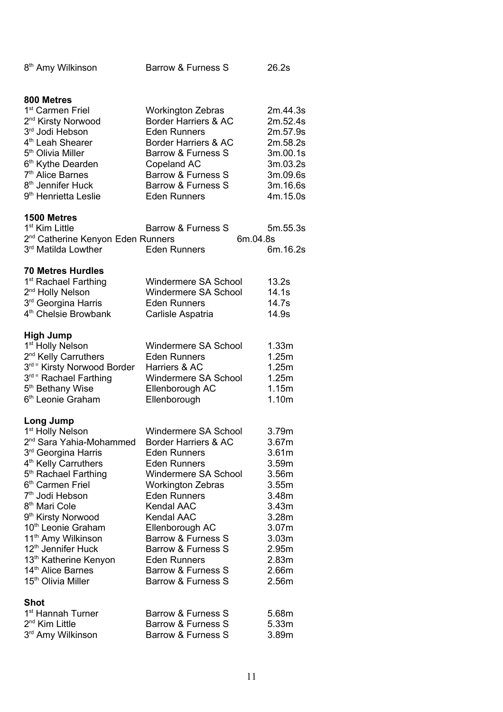| 8 <sup>th</sup> Amy Wilkinson                                                                                                                                                                                                                                                                                                                                                                                                                                                                                                           | <b>Barrow &amp; Furness S</b>                                                                                                                                                                                                                                                                                                                     |          | 26.2s                                                                                                                                                                   |
|-----------------------------------------------------------------------------------------------------------------------------------------------------------------------------------------------------------------------------------------------------------------------------------------------------------------------------------------------------------------------------------------------------------------------------------------------------------------------------------------------------------------------------------------|---------------------------------------------------------------------------------------------------------------------------------------------------------------------------------------------------------------------------------------------------------------------------------------------------------------------------------------------------|----------|-------------------------------------------------------------------------------------------------------------------------------------------------------------------------|
| 800 Metres<br>1 <sup>st</sup> Carmen Friel<br>2 <sup>nd</sup> Kirsty Norwood<br>3rd Jodi Hebson<br>4 <sup>th</sup> Leah Shearer<br>5 <sup>th</sup> Olivia Miller<br>6 <sup>th</sup> Kythe Dearden<br>7 <sup>th</sup> Alice Barnes<br>8 <sup>th</sup> Jennifer Huck<br>9 <sup>th</sup> Henrietta Leslie                                                                                                                                                                                                                                  | <b>Workington Zebras</b><br>Border Harriers & AC<br><b>Eden Runners</b><br>Border Harriers & AC<br>Barrow & Furness S<br>Copeland AC<br><b>Barrow &amp; Furness S</b><br>Barrow & Furness S<br><b>Eden Runners</b>                                                                                                                                |          | 2m.44.3s<br>2m.52.4s<br>2m.57.9s<br>2m.58.2s<br>3m.00.1s<br>3m.03.2s<br>3m.09.6s<br>3m.16.6s<br>4m.15.0s                                                                |
| 1500 Metres<br>1 <sup>st</sup> Kim Little<br>2 <sup>nd</sup> Catherine Kenyon Eden Runners<br>3 <sup>rd</sup> Matilda Lowther                                                                                                                                                                                                                                                                                                                                                                                                           | Barrow & Furness S<br><b>Eden Runners</b>                                                                                                                                                                                                                                                                                                         | 6m.04.8s | 5m.55.3s<br>6m.16.2s                                                                                                                                                    |
| <b>70 Metres Hurdles</b><br>1 <sup>st</sup> Rachael Farthing<br>2 <sup>nd</sup> Holly Nelson<br>3 <sup>rd</sup> Georgina Harris<br>4 <sup>th</sup> Chelsie Browbank                                                                                                                                                                                                                                                                                                                                                                     | Windermere SA School<br>Windermere SA School<br><b>Eden Runners</b><br>Carlisle Aspatria                                                                                                                                                                                                                                                          |          | 13.2s<br>14.1s<br>14.7s<br>14.9s                                                                                                                                        |
| <b>High Jump</b><br>1 <sup>st</sup> Holly Nelson<br>2 <sup>nd</sup> Kelly Carruthers<br>3rd = Kirsty Norwood Border<br>3rd = Rachael Farthing<br>5 <sup>th</sup> Bethany Wise<br>6 <sup>th</sup> Leonie Graham                                                                                                                                                                                                                                                                                                                          | Windermere SA School<br><b>Eden Runners</b><br>Harriers & AC<br>Windermere SA School<br>Ellenborough AC<br>Ellenborough                                                                                                                                                                                                                           |          | 1.33m<br>1.25m<br>1.25m<br>1.25m<br>1.15m<br>1.10m                                                                                                                      |
| Long Jump<br>1 <sup>st</sup> Holly Nelson<br>2 <sup>nd</sup> Sara Yahia-Mohammed<br>3 <sup>rd</sup> Georgina Harris<br>4 <sup>th</sup> Kelly Carruthers<br>5 <sup>th</sup> Rachael Farthing<br>6 <sup>th</sup> Carmen Friel<br>7 <sup>th</sup> Jodi Hebson<br>8 <sup>th</sup> Mari Cole<br>9 <sup>th</sup> Kirsty Norwood<br>10 <sup>th</sup> Leonie Graham<br>11 <sup>th</sup> Amy Wilkinson<br>12 <sup>th</sup> Jennifer Huck<br>13 <sup>th</sup> Katherine Kenyon<br>14 <sup>th</sup> Alice Barnes<br>15 <sup>th</sup> Olivia Miller | Windermere SA School<br>Border Harriers & AC<br><b>Eden Runners</b><br><b>Eden Runners</b><br>Windermere SA School<br><b>Workington Zebras</b><br><b>Eden Runners</b><br><b>Kendal AAC</b><br><b>Kendal AAC</b><br>Ellenborough AC<br>Barrow & Furness S<br>Barrow & Furness S<br><b>Eden Runners</b><br>Barrow & Furness S<br>Barrow & Furness S |          | 3.79m<br>3.67m<br>3.61 <sub>m</sub><br>3.59m<br>3.56m<br>3.55m<br>3.48m<br>3.43m<br>3.28m<br>3.07 <sub>m</sub><br>3.03 <sub>m</sub><br>2.95m<br>2.83m<br>2.66m<br>2.56m |
| <b>Shot</b><br>1 <sup>st</sup> Hannah Turner<br>2 <sup>nd</sup> Kim Little<br>3rd Amy Wilkinson                                                                                                                                                                                                                                                                                                                                                                                                                                         | Barrow & Furness S<br>Barrow & Furness S<br>Barrow & Furness S                                                                                                                                                                                                                                                                                    |          | 5.68m<br>5.33m<br>3.89m                                                                                                                                                 |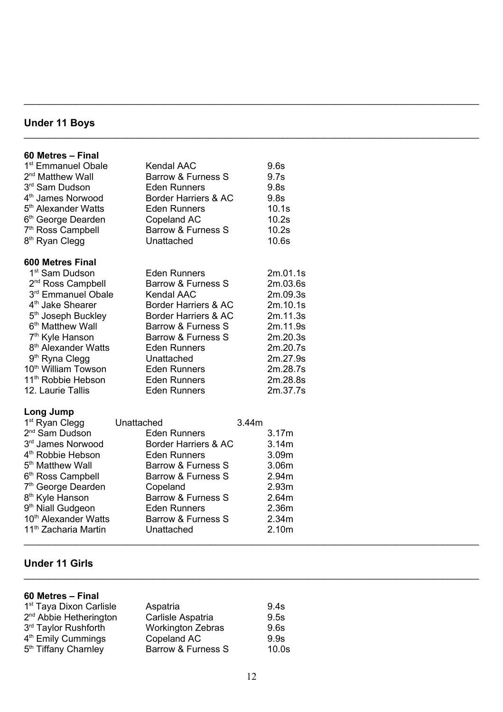#### **Under 11 Boys**

#### **60 Metres – Final** 1 st Emmanuel Obale Kendal AAC 9.6s 2<sup>nd</sup> Matthew Wall Barrow & Furness S 9.7s 3 rd Sam Dudson Eden Runners 9.8s  $4<sup>th</sup>$ Border Harriers & AC 9.8s 5 th Alexander Watts Eden Runners 10.1s 6 th George Dearden Copeland AC 10.2s 7<sup>th</sup> Ross Campbell Barrow & Furness S 10.2s 8<sup>th</sup> Ryan Clegg **Constants** Unattached 10.6s **600 Metres Final** 1 st Sam Dudson Eden Runners 2m.01.1s 2<sup>nd</sup> Ross Campbell Barrow & Furness S 2m.03.6s 3 rd Emmanuel Obale Kendal AAC 2m.09.3s  $4<sup>th</sup>$ Border Harriers & AC 2m.10.1s  $5<sup>th</sup>$ Border Harriers & AC 2m.11.3s 6<sup>th</sup> Matthew Wall Barrow & Furness S 2m.11.9s 7<sup>th</sup> Kyle Hanson Barrow & Furness S 2m.20.3s 8 th Alexander Watts Eden Runners 2m.20.7s 9<sup>th</sup> Ryna Clegg **Constants** Unattached 2m.27.9s 10 th William Towson Eden Runners 2m.28.7s 11 th Robbie Hebson Eden Runners 2m.28.8s 12. Laurie Tallis Eden Runners 2m.37.7s **Long Jump** 1 st Ryan Clegg Unattached 3.44m 2 nd Sam Dudson Eden Runners 3.17m 3 rd Border Harriers & AC 3.14m 4 th Robbie Hebson Eden Runners 3.09m 5<sup>th</sup> Matthew Wall Barrow & Furness S 3.06m 6<sup>th</sup> Ross Campbell Barrow & Furness S 2.94m 7 th George Dearden Copeland 2.93m 8<sup>th</sup> Kyle Hanson Barrow & Furness S 2.64m 9 th Niall Gudgeon Eden Runners 2.36m 10<sup>th</sup> Alexander Watts Barrow & Furness S 2.34m

#### **Under 11 Girls**

| 60 Metres - Final                   |                          |       |
|-------------------------------------|--------------------------|-------|
| 1 <sup>st</sup> Taya Dixon Carlisle | Aspatria                 | 9.4s  |
| 2 <sup>nd</sup> Abbie Hetherington  | Carlisle Aspatria        | 9.5s  |
| 3rd Taylor Rushforth                | <b>Workington Zebras</b> | 9.6s  |
| 4 <sup>th</sup> Emily Cummings      | Copeland AC              | 9.9s  |
| 5 <sup>th</sup> Tiffany Charnley    | Barrow & Furness S       | 10.0s |

11<sup>th</sup> Zacharia Martin **Unattached** 2.10m

\_\_\_\_\_\_\_\_\_\_\_\_\_\_\_\_\_\_\_\_\_\_\_\_\_\_\_\_\_\_\_\_\_\_\_\_\_\_\_\_\_\_\_\_\_\_\_\_\_\_\_\_\_\_\_\_\_\_\_\_\_\_\_\_\_\_\_\_\_\_\_\_\_\_\_\_\_\_\_\_\_\_\_\_\_\_\_\_

\_\_\_\_\_\_\_\_\_\_\_\_\_\_\_\_\_\_\_\_\_\_\_\_\_\_\_\_\_\_\_\_\_\_\_\_\_\_\_\_\_\_\_\_\_\_\_\_\_\_\_\_\_\_\_\_\_\_\_\_\_\_\_\_\_\_\_\_\_\_\_\_\_\_\_\_\_\_\_\_\_\_\_\_\_\_\_\_

\_\_\_\_\_\_\_\_\_\_\_\_\_\_\_\_\_\_\_\_\_\_\_\_\_\_\_\_\_\_\_\_\_\_\_\_\_\_\_\_\_\_\_\_\_\_\_\_\_\_\_\_\_\_\_\_\_\_\_\_\_\_\_\_\_\_\_\_\_\_\_\_\_\_\_\_\_\_\_\_\_\_\_\_\_\_\_\_